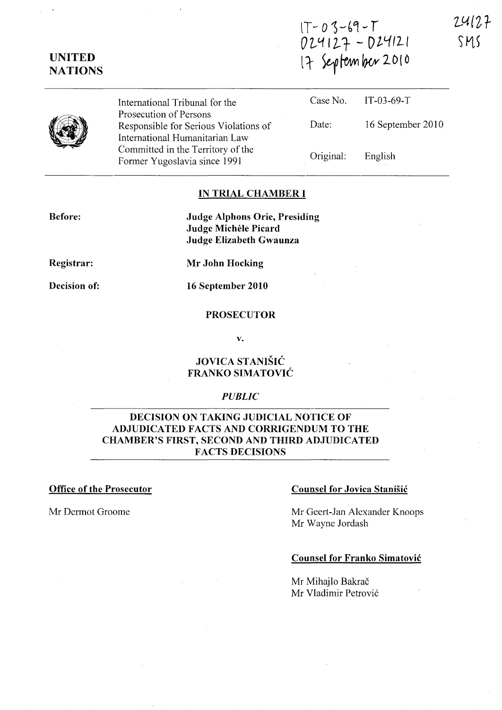**IT-O)--b4-r**  O~'1I2-t **- D2.L.(ILI NATIONS It** ~~W2D(O  $24127$ SMS

**UNITED** 

International Tribunal for the Prosecution of Persons Responsible for Serious Violations of International Humanitarian Law Committed in the Territory of the Former Yugoslavia since 1991

| Case No.  | $TT-03-69-T$        |
|-----------|---------------------|
| Date:     | $16$ September 2010 |
| Original: | English             |

### **IN TRIAL CHAMBER I**

**Before:** 

**Judge Alphons Orie, Presiding Judge Michele Picard Judge Elizabeth Gwaunza** 

**Registrar:** 

**Decision of:** 

**16 September 2010** 

**Mr John Hocking** 

### **PROSECUTOR**

**v.** 

# **JOVICA STANISIC FRANKO SIMATOVIC**

### *PUBLIC*

# **DECISION ON TAKING JUDICIAL NOTICE OF ADJUDICATED FACTS AND CORRIGENDUM TO THE CHAMBER'S FIRST, SECOND AND THIRD ADJUDICATED FACTS DECISIONS**

## **Office of the Prosecutor** Counsel for Jovica Stanišić

Mr Dermot Groome Mr Geert-Jan Alexander Knoops Mr Wayne Jordash

### **Counsel for Franko Simatovic**

Mr Mihajlo Bakrač Mr Vladimir Petrović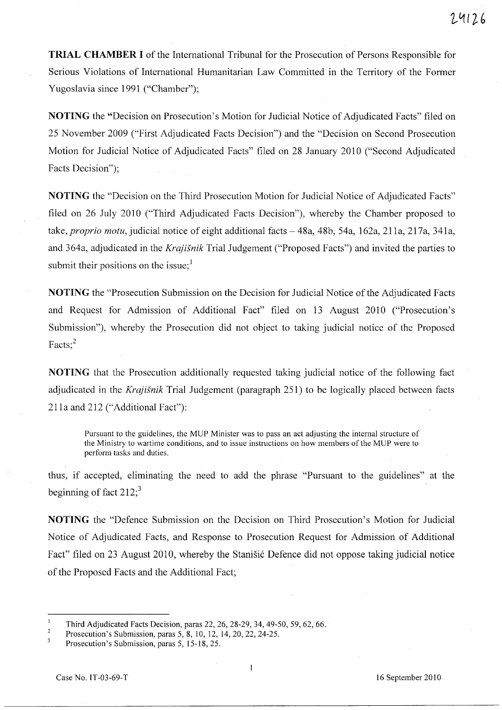**TRIAL CHAMBER I** of the International Tribunal for the Prosecution of Persons Responsible for Serious Violations of International Humanitarian Law Committed in the Territory of the Former Yugoslavia since 1991 ("Chamber");

**NOTING** the "Decision on Prosecution's Motion for Judicial Notice of Adjudicated Facts" filed on 25 November 2009 ("First Adjudicated Facts Decision") and the "Decision on Second Prosecution Motion for Judicial Notice of Adjudicated Facts" filed on 28 January 2010 ("Second Adjudicated Facts Decision");

**NOTING** the "Decision on the Third Prosecution Motion for Judicial Notice of Adjudicated Facts" filed on 26 July 2010 ("Third Adjudicated Facts Decision"), whereby the Chamber proposed to take, *proprio motu*, judicial notice of eight additional facts - 48a, 48b, 54a, 162a, 211a, 217a, 341a, and 364a, adjudicated in the *Krajisnik* Trial Judgement ("Proposed Facts") and invited the parties to submit their positions on the issue; $<sup>1</sup>$ </sup>

**NOTING** the "Prosecution Submission on the Decision for Judicial Notice of the Adjudicated Facts and Request for Admission of Additional Fact" filed on 13 August 2010 ("Prosecution's Submission"), whereby the Prosecution did not object to taking judicial notice of the Proposed Facts;<sup>2</sup>

**NOTING** that the Prosecution additionally requested taking judicial notice of the following fact adjudicated in the *Krajisnik* Trial Judgement (paragraph 251) to be logically placed between facts 211a and 212 ("Additional Fact"):

Pursuant to the guidelines, the MUP Minister was to pass an act adjusting the internal structure of the Ministry to wartime conditions, and to issue instructions on how members of the MUP were to perform tasks and duties.

thus, if accepted, eliminating the need to add the phrase "Pursuant to the guidelines" at the beginning of fact  $212$ ;<sup>3</sup>

**NOTING** the "Defence Submission on the Decision on Third Prosecution's Motion for Judicial Notice of Adjudicated Facts, and Response to Prosecution Request for Admission of Additional Fact" filed on 23 August 2010, whereby the Stanisic Defence did not oppose taking judicial notice of the Proposed Facts and the Additional Fact;

 $\mathbf{1}$ Third Adjudicated Facts Decision, paras 22, 26, 28-29, 34, 49-50, 59, 62, 66.

 $\overline{2}$ Prosecution's Submission, paras 5,8, 10, 12, 14,20,22,24-25.

 $\overline{\mathbf{3}}$ Prosecution's Submission, paras 5,15-18,25.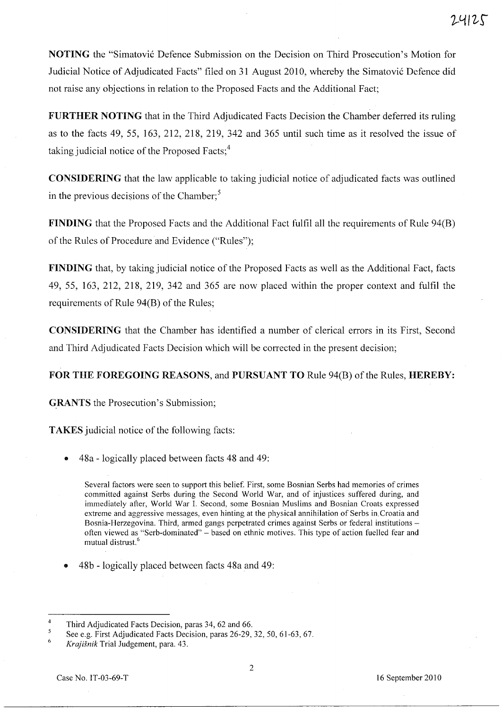NOTING the "Simatovic Defence Submission on the Decision on Third Prosecution's Motion for Judicial Notice of Adjudicated Facts" filed on 31 August 2010, whereby the Simatovic Defence did not raise any objections in relation to the Proposed Facts and the Additional Fact;

FURTHER NOTING that in the Third Adjudicated Facts Decision the Chamber deferred its ruling as to the facts 49, 55, 163,212,218, 219, 342 and 365 until such time as it resolved the issue of taking judicial notice of the Proposed Facts:<sup>4</sup>

CONSIDERING that the law applicable to taking judicial notice of adjudicated facts was outlined in the previous decisions of the Chamber; $<sup>5</sup>$ </sup>

FINDING that the Proposed Facts and the Additional Fact fulfil all the requirements of Rule 94(B) of the Rules of Procedure and Evidence ("Rules");

FINDING that, by taking judicial notice of the Proposed Facts as well as the Additional Fact, facts 49, 55, 163, 212, 218, 219, 342 and 365 are now placed within the proper context and fulfil the requirements of Rule 94(B) of the Rules;

CONSIDERING that the Chamber has identified a number of clerical errors in its First, Second and Third Adjudicated Facts Decision which will be corrected in the present decision;

### FOR THE FOREGOING REASONS, and PURSUANT TO Rule 94(B) of the Rules, HEREBY:

GRANTS the Prosecution's Submission;

TAKES judicial notice of the following facts:

• 48a - logically placed between facts 48 and 49:

Several factors were seen to support this belief. First, some Bosnian Serbs had memories of crimes committed against Serbs during the Second World War, and of injustices suffered during, and immediately after, World War 1. Second, some Bosnian Muslims and Bosnian Croats expressed extreme and aggressive messages, even hinting at the physical annihilation of Serbs in, Croatia and Bosnia-Herzegovina. Third, armed gangs perpetrated crimes against Serbs or federal institutions often viewed as "Serb-dominated" - based on ethnic motives. This type of action fuelled fear and mutual distrust.<sup>6</sup>

• 48b - logically placed between facts 48a and 49:

<sup>4</sup>  Third Adjudicated Facts Decision, paras 34, 62 and 66.

<sup>5</sup> See e.g. First Adjudicated Facts Decision, paras 26-29, 32, 50, 61-63, 67.

<sup>6</sup>  *Krajisnik* Trial Judgement, para. 43.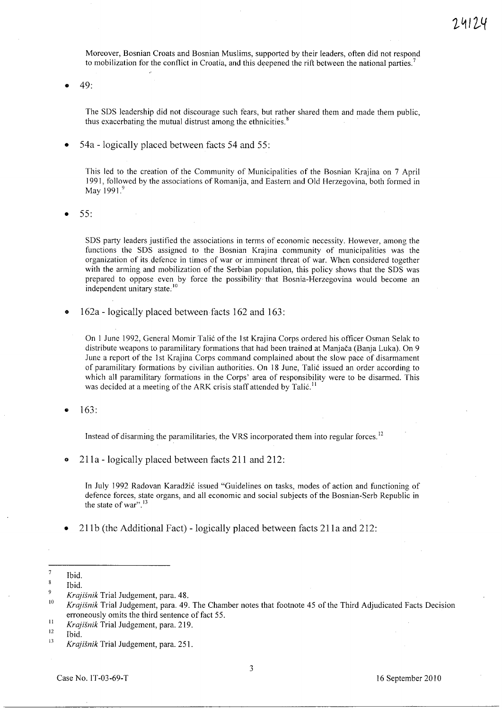Moreover, Bosnian Croats and Bosnian Muslims, supported by their leaders, often did not respond to mobilization for the conflict **in** Croatia, and this deepened the rift between the national parties. <sup>7</sup>

 $49:$ 

The SDS leadership did not discourage such fears, but rather shared them and made them public, thus exacerbating the mutual distrust among the ethnicities.<sup>8</sup>

• 54a -logically placed between facts 54 and 55:

This led to the creation of the Community of Municipalities of the Bosnian Krajina on 7 April 1991, followed by the associations of Romanija, and Eastern and Old Herzegovina, both formed in May 1991.<sup>9</sup>

• 55:

SDS party leaders justified the associations in terms of economic necessity. However, among the functions the SDS assigned to the Bosnian Krajina community of municipalities was the organization of its. defence in times of war or imminent threat of war. When considered together with the arming and mobilization of the Serbian population, this policy shows that the SDS was prepared to oppose even by force the possibility that Bosnia-Herzegovina would become an independent unitary state.<sup>10</sup>

• 162a - logically placed between facts 162 and 163:

On 1 June 1992, General Momir Talić of the 1st Krajina Corps ordered his officer Osman Selak to distribute weapons to paramilitary formations that had been trained at Manjaca (Banja Luka). On 9 June a report of the 1st Krajina Corps command complained about the slow pace of disarmament of paramilitary formations by civilian authorities. On 18 June, Tali6 issued an order according to which all paramilitary formations in the Corps' area of responsibility were to be disarmed. This was decided at a meeting of the ARK crisis staff attended by Talić.<sup>11</sup>

• 163:

Instead of disarming the paramilitaries, the VRS incorporated them into regular forces.<sup>12</sup>

 $211a$  - logically placed between facts  $211$  and  $212$ :

In July 1992 Radovan Karadžić issued "Guidelines on tasks, modes of action and functioning of defence forces, state organs, and all economic and social subjects of the Bosnian-Serb Republic in the state of war".<sup>13</sup>

211b (the Additional Fact) - logically placed between facts 211a and 212:

<sup>7</sup>  Ibid.  $\overline{\mathbf{8}}$ 

Ibid.

<sup>9</sup> *Krajisnik* Trial Judgement, para. 48.

<sup>10</sup>  *Krajisnik* Trial Judgement, para. 49. The Chamber notes that footnote 45 of the Third Adjudicated Facts Decision erroneously omits the third sentence of fact 55.

<sup>11</sup>  *Krajisnik* Trial Judgement, para. 219.

<sup>12</sup>  Ibid.

<sup>13</sup>  *Krajisnik* Trial Judgement, para. 251.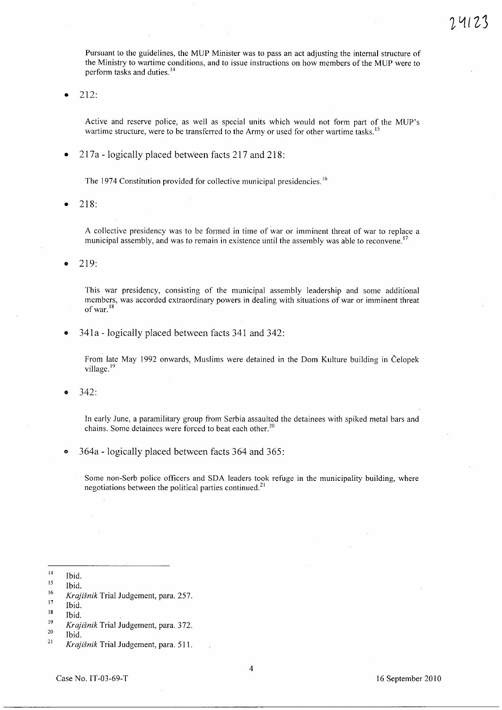Pursuant to the guidelines, the MUP Minister was to pass an act adjusting the internal structure of the Ministry to wartime conditions, and to issue instructions on how members of the MUP were to perform tasks and duties. 14

• 212:

Active and reserve police, as well as special units which would not form part of the MUP's wartime structure, were to be transferred to the Army or used for other wartime tasks.<sup>15</sup>

• 217a -logically placed between facts 217 and 218:

The 1974 Constitution provided for collective municipal presidencies.<sup>16</sup>

• 218:

A collective presidency was to be formed in time of war or imminent threat of war to replace a municipal assembly, and was to remain in existence until the assembly was able to reconvene.<sup>17</sup>

• 219:

This war presidency, consisting of the municipal assembly leadership and some additional members, was accorded extraordinary powers in dealing with situations of war or imminent threat of war. $18$ 

• 341a -logically placed between facts 341 and 342:

From late May 1992 onwards, Muslims were detained in the Dom Kulture building in Celopek village.<sup>19</sup>

• 342:

In early June, a paramilitary group from Serbia assaulted the detainees with spiked metal bars and chains. Some detainees were forced to beat each other.<sup>20</sup>

364a - logically placed between facts 364 and 365:

Some non-Serb police officers and SDA leaders took refuge in the municipality building, where negotiations between the political parties continued.<sup>21</sup>

<sup>14</sup>  15 Ibid.

<sup>16</sup>  Ibid.

<sup>17</sup>  *Krajisnik* Trial Judgement, para. 257.

<sup>18</sup>  Ibid.

<sup>19</sup>  Ibid.

<sup>20</sup>  *Krajisnik* Trial Judgement, para. 372.

<sup>21</sup>  Ibid.

*Krajisnik* Trial Judgement, para. 511.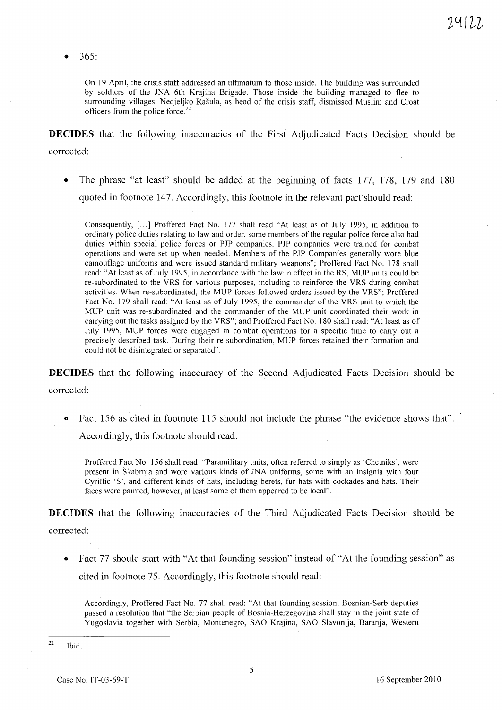• 365:

On 19 April, the crisis staff addressed an ultimatum to those inside. The building was surrounded by soldiers of the JNA 6th Krajina Brigade. Those inside the building managed to flee to surrounding villages. Nedjeljko Rašula, as head of the crisis staff, dismissed Muslim and Croat officers from the police force. <sup>22</sup>

**DECIDES** that the following inaccuracies of the First Adjudicated Facts Decision should be corrected:

The phrase "at least" should be added at the beginning of facts 177, 178, 179 and 180 quoted in footnote 147. Accordingly, this footnote in the relevant part should read:

Consequently, [...] Proffered Fact No. 177 shall read "At least as of July 1995, in addition to ordinary police duties relating to law and order, some members of the regular police force also had duties within special police forces or PJP companies. PJP companies were trained for combat operations and were set up when needed. Members of the PJP Companies generally wore blue camouflage uniforms and were issued standard military weapons"; Proffered Fact No. 178 shall read: "At least as of July 1995, in accordance with the law in effect in the RS, MUP units could be re-subordinated to the VRS for various purposes, including to reinforce the VRS during combat activities. When re-subordinated, the MUP forces followed orders issued by the VRS"; Proffered Fact No. 179 shall read: "At least as of July 1995, the commander of the VRS unit to which the MUP unit was re-subordinated and the commander of the MUP unit coordinated their work in carrying out the tasks assigned by the VRS"; and Proffered Fact No. 180 shall read: "At least as of July 1995, MUP forces were engaged in combat operations for a specific time to carry out a precisely described task. During their re-subordination, MUP forces retained their formation and could not be disintegrated or separated".

**DECIDES** that the following maccuracy of the Second Adjudicated Facts Decision should be corrected:

Fact 156 as cited in footnote 115 should not include the phrase "the evidence shows that". Accordingly, this footnote should read:

Proffered Fact No. 156 shall read: "Paramilitary units, often referred to simply as 'Chetniks', were present in Skabrnja and wore various kinds of JNA uniforms, some with an insignia with four Cyrillic 'S', and different kinds of hats, including berets, fur hats with cockades and hats. Their faces were painted, however, at least some of them appeared to be local".

**DECIDES** that the following inaccuracies of the Third Adjudicated Facts Decision should be corrected:

- - Fact 77 should start with "At that founding session" instead of "At the founding session" as cited in footnote 75. Accordingly, this footnote should read:

Accordingly, Proffered Fact No. 77 shall read: "At that founding session, Bosnian-Serb deputies passed a resolution that "the Serbian people of Bosnia-Herzegovina shall stay in the joint state of Yugoslavia together with Serbia, Montenegro, SAO Krajina, SAO Slavonija, Baranja, Western

<sup>22</sup>  Ibid.